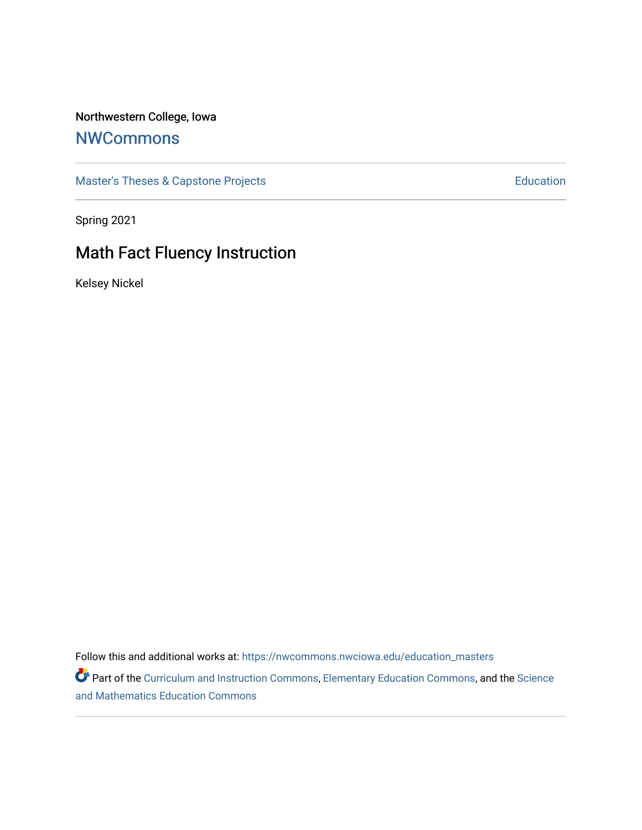### Northwestern College, Iowa

# **[NWCommons](https://nwcommons.nwciowa.edu/)**

[Master's Theses & Capstone Projects](https://nwcommons.nwciowa.edu/education_masters) **Education** Education

Spring 2021

# Math Fact Fluency Instruction

Kelsey Nickel

Follow this and additional works at: [https://nwcommons.nwciowa.edu/education\\_masters](https://nwcommons.nwciowa.edu/education_masters?utm_source=nwcommons.nwciowa.edu%2Feducation_masters%2F290&utm_medium=PDF&utm_campaign=PDFCoverPages)

Part of the [Curriculum and Instruction Commons,](http://network.bepress.com/hgg/discipline/786?utm_source=nwcommons.nwciowa.edu%2Feducation_masters%2F290&utm_medium=PDF&utm_campaign=PDFCoverPages) [Elementary Education Commons](http://network.bepress.com/hgg/discipline/1378?utm_source=nwcommons.nwciowa.edu%2Feducation_masters%2F290&utm_medium=PDF&utm_campaign=PDFCoverPages), and the [Science](http://network.bepress.com/hgg/discipline/800?utm_source=nwcommons.nwciowa.edu%2Feducation_masters%2F290&utm_medium=PDF&utm_campaign=PDFCoverPages) [and Mathematics Education Commons](http://network.bepress.com/hgg/discipline/800?utm_source=nwcommons.nwciowa.edu%2Feducation_masters%2F290&utm_medium=PDF&utm_campaign=PDFCoverPages)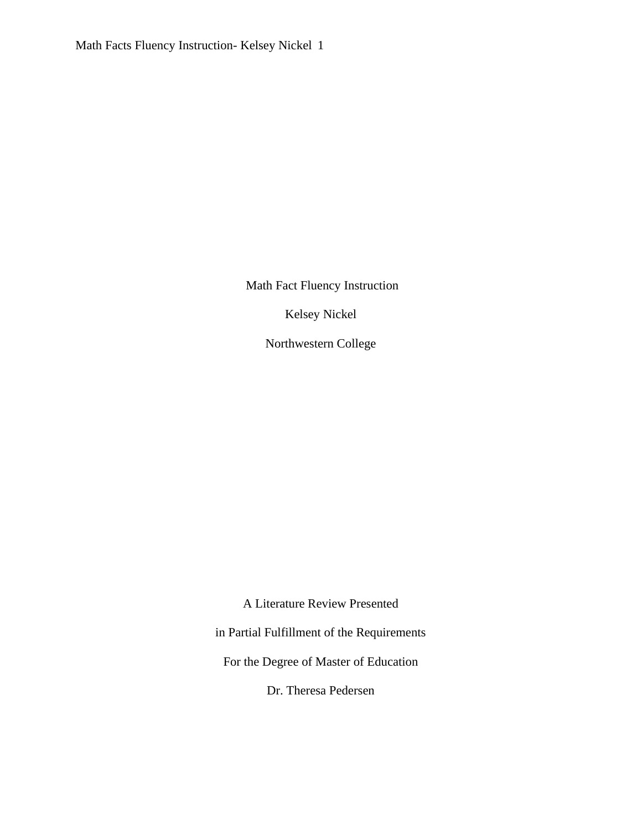Math Fact Fluency Instruction

Kelsey Nickel

Northwestern College

A Literature Review Presented

in Partial Fulfillment of the Requirements

For the Degree of Master of Education

Dr. Theresa Pedersen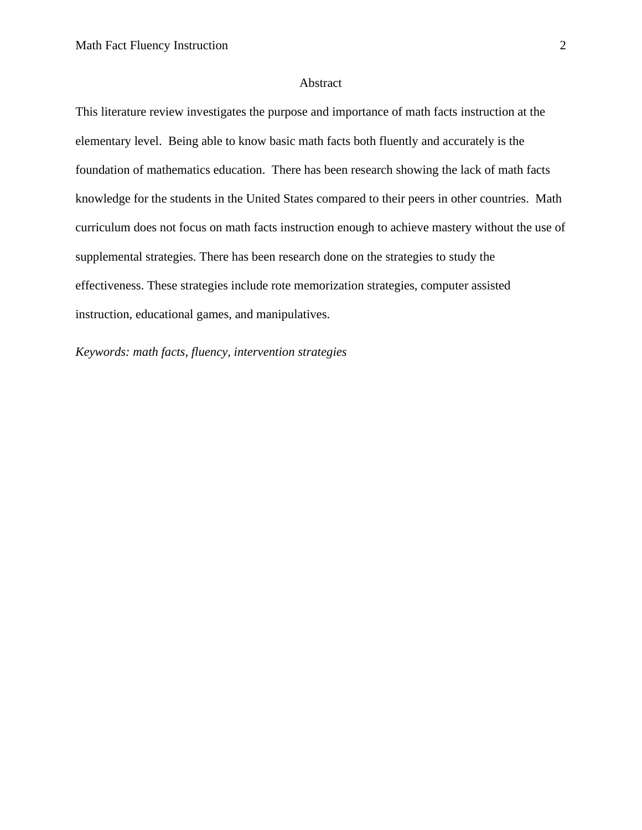#### Abstract

This literature review investigates the purpose and importance of math facts instruction at the elementary level. Being able to know basic math facts both fluently and accurately is the foundation of mathematics education. There has been research showing the lack of math facts knowledge for the students in the United States compared to their peers in other countries. Math curriculum does not focus on math facts instruction enough to achieve mastery without the use of supplemental strategies. There has been research done on the strategies to study the effectiveness. These strategies include rote memorization strategies, computer assisted instruction, educational games, and manipulatives.

*Keywords: math facts, fluency, intervention strategies*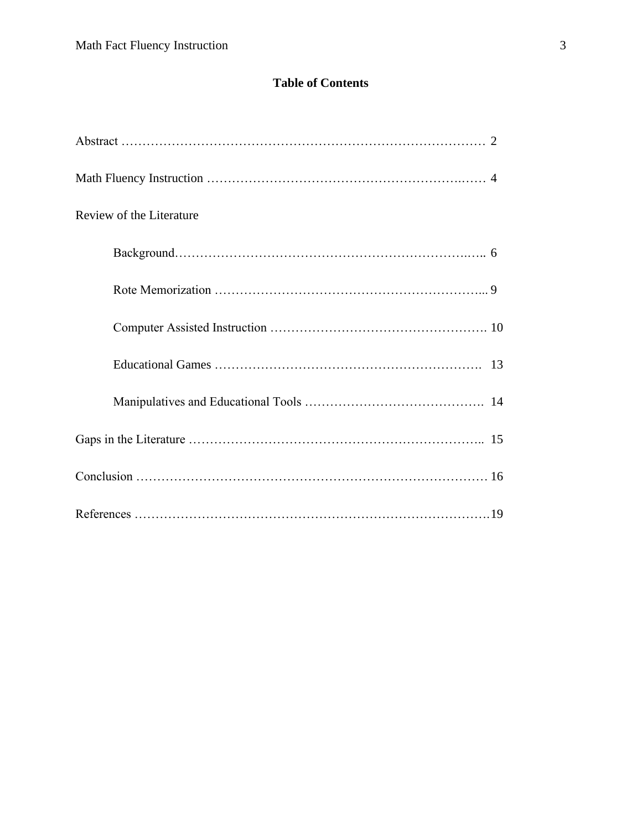## **Table of Contents**

| Review of the Literature |
|--------------------------|
|                          |
|                          |
|                          |
|                          |
|                          |
|                          |
|                          |
|                          |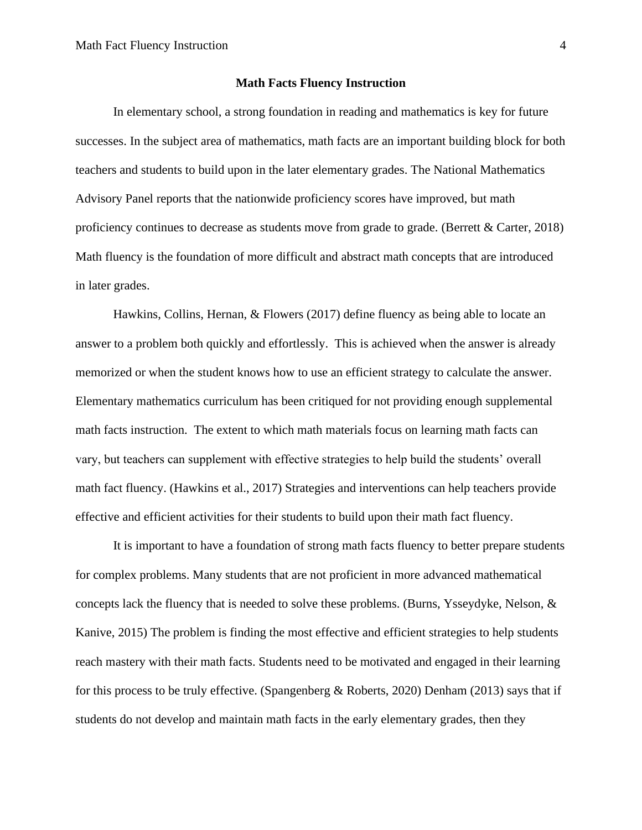#### **Math Facts Fluency Instruction**

In elementary school, a strong foundation in reading and mathematics is key for future successes. In the subject area of mathematics, math facts are an important building block for both teachers and students to build upon in the later elementary grades. The National Mathematics Advisory Panel reports that the nationwide proficiency scores have improved, but math proficiency continues to decrease as students move from grade to grade. (Berrett & Carter, 2018) Math fluency is the foundation of more difficult and abstract math concepts that are introduced in later grades.

Hawkins, Collins, Hernan, & Flowers (2017) define fluency as being able to locate an answer to a problem both quickly and effortlessly. This is achieved when the answer is already memorized or when the student knows how to use an efficient strategy to calculate the answer. Elementary mathematics curriculum has been critiqued for not providing enough supplemental math facts instruction. The extent to which math materials focus on learning math facts can vary, but teachers can supplement with effective strategies to help build the students' overall math fact fluency. (Hawkins et al., 2017) Strategies and interventions can help teachers provide effective and efficient activities for their students to build upon their math fact fluency.

It is important to have a foundation of strong math facts fluency to better prepare students for complex problems. Many students that are not proficient in more advanced mathematical concepts lack the fluency that is needed to solve these problems. (Burns, Ysseydyke, Nelson, & Kanive, 2015) The problem is finding the most effective and efficient strategies to help students reach mastery with their math facts. Students need to be motivated and engaged in their learning for this process to be truly effective. (Spangenberg & Roberts, 2020) Denham (2013) says that if students do not develop and maintain math facts in the early elementary grades, then they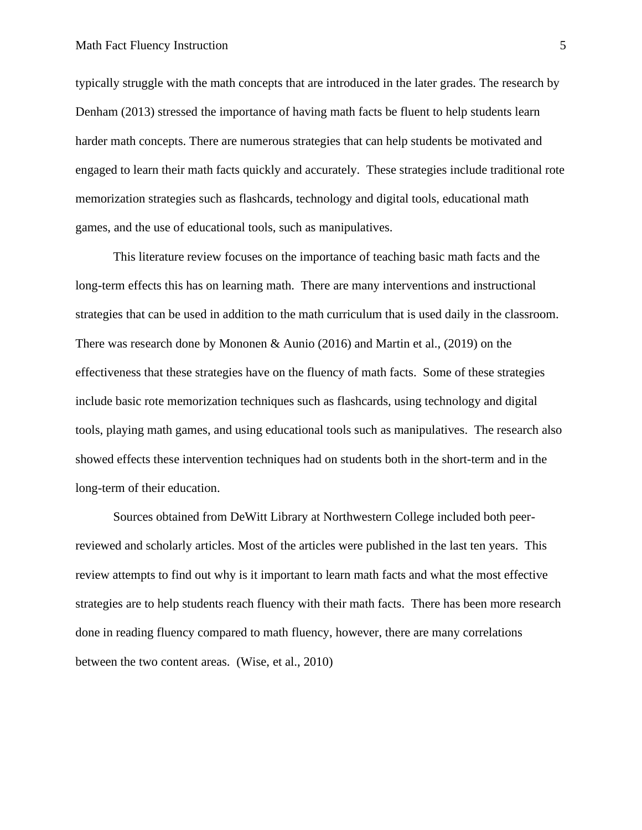typically struggle with the math concepts that are introduced in the later grades. The research by Denham (2013) stressed the importance of having math facts be fluent to help students learn harder math concepts. There are numerous strategies that can help students be motivated and engaged to learn their math facts quickly and accurately. These strategies include traditional rote memorization strategies such as flashcards, technology and digital tools, educational math games, and the use of educational tools, such as manipulatives.

This literature review focuses on the importance of teaching basic math facts and the long-term effects this has on learning math. There are many interventions and instructional strategies that can be used in addition to the math curriculum that is used daily in the classroom. There was research done by Mononen & Aunio (2016) and Martin et al., (2019) on the effectiveness that these strategies have on the fluency of math facts. Some of these strategies include basic rote memorization techniques such as flashcards, using technology and digital tools, playing math games, and using educational tools such as manipulatives. The research also showed effects these intervention techniques had on students both in the short-term and in the long-term of their education.

Sources obtained from DeWitt Library at Northwestern College included both peerreviewed and scholarly articles. Most of the articles were published in the last ten years. This review attempts to find out why is it important to learn math facts and what the most effective strategies are to help students reach fluency with their math facts. There has been more research done in reading fluency compared to math fluency, however, there are many correlations between the two content areas. (Wise, et al., 2010)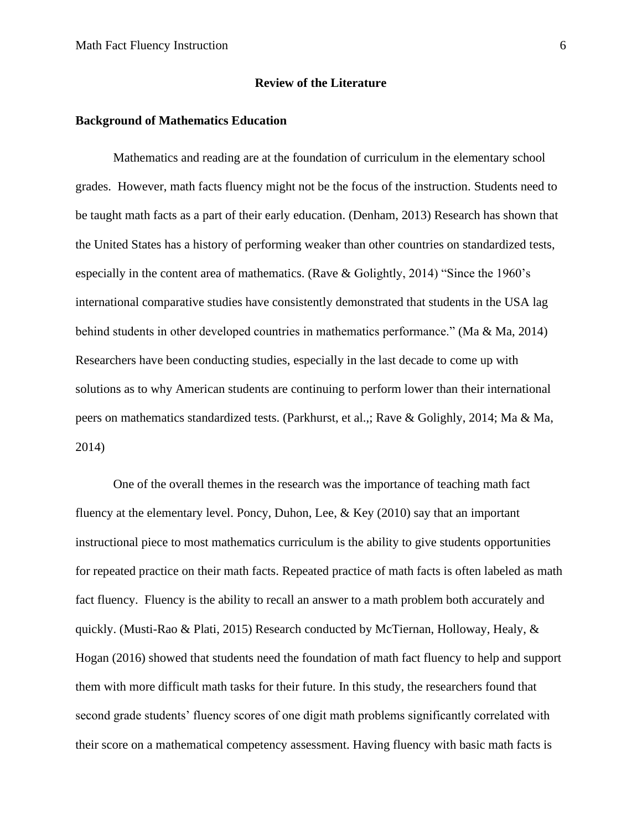#### **Review of the Literature**

#### **Background of Mathematics Education**

Mathematics and reading are at the foundation of curriculum in the elementary school grades. However, math facts fluency might not be the focus of the instruction. Students need to be taught math facts as a part of their early education. (Denham, 2013) Research has shown that the United States has a history of performing weaker than other countries on standardized tests, especially in the content area of mathematics. (Rave & Golightly, 2014) "Since the 1960's international comparative studies have consistently demonstrated that students in the USA lag behind students in other developed countries in mathematics performance." (Ma & Ma, 2014) Researchers have been conducting studies, especially in the last decade to come up with solutions as to why American students are continuing to perform lower than their international peers on mathematics standardized tests. (Parkhurst, et al.,; Rave & Golighly, 2014; Ma & Ma, 2014)

One of the overall themes in the research was the importance of teaching math fact fluency at the elementary level. Poncy, Duhon, Lee,  $\&$  Key (2010) say that an important instructional piece to most mathematics curriculum is the ability to give students opportunities for repeated practice on their math facts. Repeated practice of math facts is often labeled as math fact fluency. Fluency is the ability to recall an answer to a math problem both accurately and quickly. (Musti-Rao & Plati, 2015) Research conducted by McTiernan, Holloway, Healy,  $\&$ Hogan (2016) showed that students need the foundation of math fact fluency to help and support them with more difficult math tasks for their future. In this study, the researchers found that second grade students' fluency scores of one digit math problems significantly correlated with their score on a mathematical competency assessment. Having fluency with basic math facts is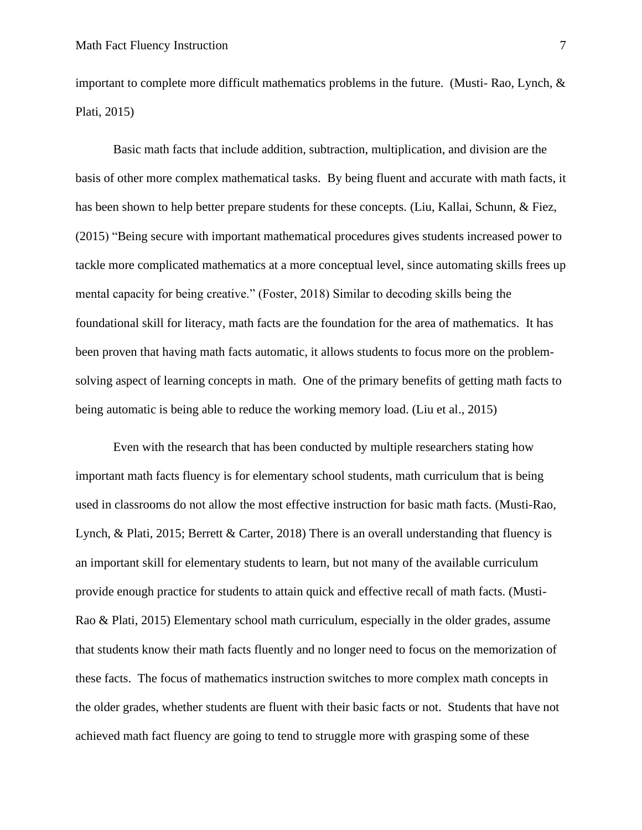important to complete more difficult mathematics problems in the future. (Musti-Rao, Lynch,  $\&$ Plati, 2015)

Basic math facts that include addition, subtraction, multiplication, and division are the basis of other more complex mathematical tasks. By being fluent and accurate with math facts, it has been shown to help better prepare students for these concepts. (Liu, Kallai, Schunn, & Fiez, (2015) "Being secure with important mathematical procedures gives students increased power to tackle more complicated mathematics at a more conceptual level, since automating skills frees up mental capacity for being creative." (Foster, 2018) Similar to decoding skills being the foundational skill for literacy, math facts are the foundation for the area of mathematics. It has been proven that having math facts automatic, it allows students to focus more on the problemsolving aspect of learning concepts in math. One of the primary benefits of getting math facts to being automatic is being able to reduce the working memory load. (Liu et al., 2015)

Even with the research that has been conducted by multiple researchers stating how important math facts fluency is for elementary school students, math curriculum that is being used in classrooms do not allow the most effective instruction for basic math facts. (Musti-Rao, Lynch, & Plati, 2015; Berrett & Carter, 2018) There is an overall understanding that fluency is an important skill for elementary students to learn, but not many of the available curriculum provide enough practice for students to attain quick and effective recall of math facts. (Musti-Rao & Plati, 2015) Elementary school math curriculum, especially in the older grades, assume that students know their math facts fluently and no longer need to focus on the memorization of these facts. The focus of mathematics instruction switches to more complex math concepts in the older grades, whether students are fluent with their basic facts or not. Students that have not achieved math fact fluency are going to tend to struggle more with grasping some of these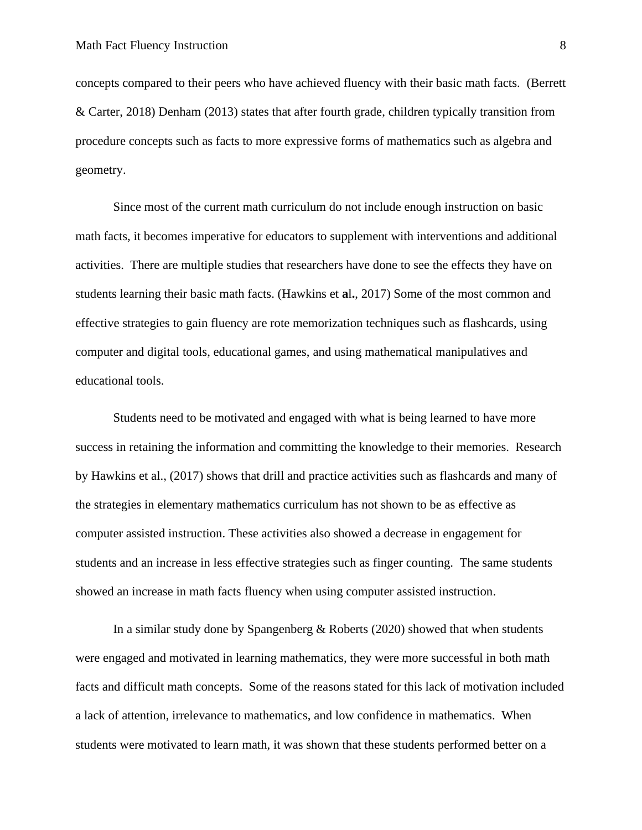concepts compared to their peers who have achieved fluency with their basic math facts. (Berrett & Carter, 2018) Denham (2013) states that after fourth grade, children typically transition from procedure concepts such as facts to more expressive forms of mathematics such as algebra and geometry.

Since most of the current math curriculum do not include enough instruction on basic math facts, it becomes imperative for educators to supplement with interventions and additional activities. There are multiple studies that researchers have done to see the effects they have on students learning their basic math facts. (Hawkins et **a**l**.**, 2017) Some of the most common and effective strategies to gain fluency are rote memorization techniques such as flashcards, using computer and digital tools, educational games, and using mathematical manipulatives and educational tools.

Students need to be motivated and engaged with what is being learned to have more success in retaining the information and committing the knowledge to their memories. Research by Hawkins et al., (2017) shows that drill and practice activities such as flashcards and many of the strategies in elementary mathematics curriculum has not shown to be as effective as computer assisted instruction. These activities also showed a decrease in engagement for students and an increase in less effective strategies such as finger counting. The same students showed an increase in math facts fluency when using computer assisted instruction.

In a similar study done by Spangenberg & Roberts (2020) showed that when students were engaged and motivated in learning mathematics, they were more successful in both math facts and difficult math concepts. Some of the reasons stated for this lack of motivation included a lack of attention, irrelevance to mathematics, and low confidence in mathematics. When students were motivated to learn math, it was shown that these students performed better on a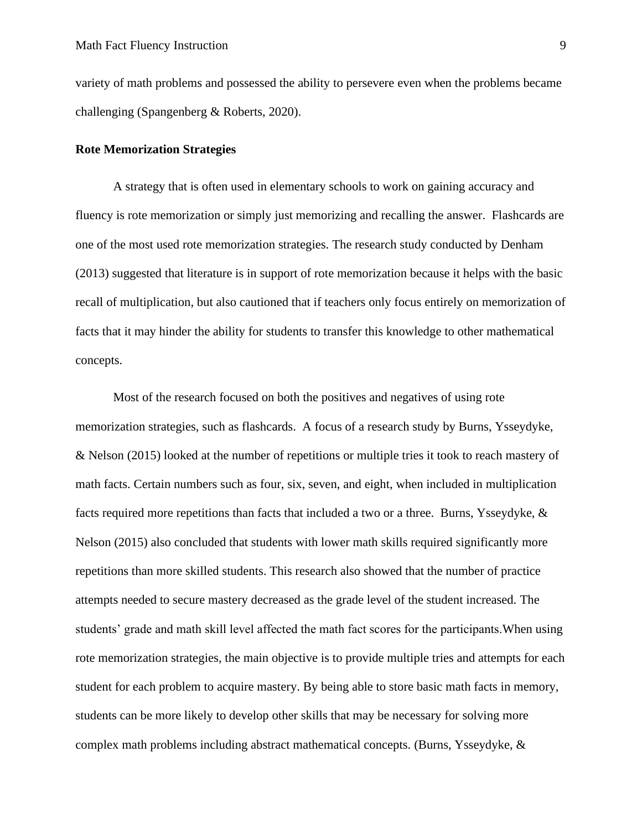variety of math problems and possessed the ability to persevere even when the problems became challenging (Spangenberg & Roberts, 2020).

#### **Rote Memorization Strategies**

A strategy that is often used in elementary schools to work on gaining accuracy and fluency is rote memorization or simply just memorizing and recalling the answer. Flashcards are one of the most used rote memorization strategies. The research study conducted by Denham (2013) suggested that literature is in support of rote memorization because it helps with the basic recall of multiplication, but also cautioned that if teachers only focus entirely on memorization of facts that it may hinder the ability for students to transfer this knowledge to other mathematical concepts.

Most of the research focused on both the positives and negatives of using rote memorization strategies, such as flashcards. A focus of a research study by Burns, Ysseydyke, & Nelson (2015) looked at the number of repetitions or multiple tries it took to reach mastery of math facts. Certain numbers such as four, six, seven, and eight, when included in multiplication facts required more repetitions than facts that included a two or a three. Burns, Ysseydyke, & Nelson (2015) also concluded that students with lower math skills required significantly more repetitions than more skilled students. This research also showed that the number of practice attempts needed to secure mastery decreased as the grade level of the student increased. The students' grade and math skill level affected the math fact scores for the participants.When using rote memorization strategies, the main objective is to provide multiple tries and attempts for each student for each problem to acquire mastery. By being able to store basic math facts in memory, students can be more likely to develop other skills that may be necessary for solving more complex math problems including abstract mathematical concepts. (Burns, Ysseydyke, &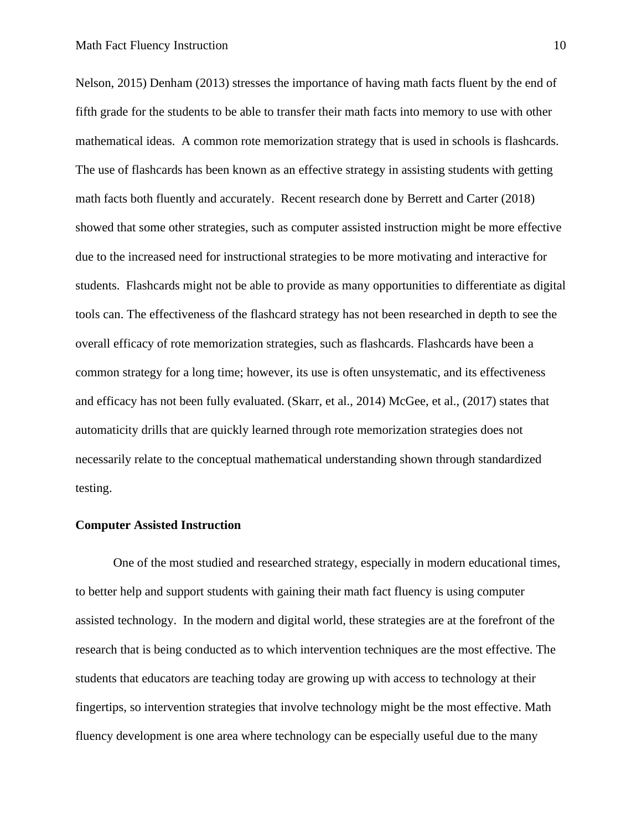Nelson, 2015) Denham (2013) stresses the importance of having math facts fluent by the end of fifth grade for the students to be able to transfer their math facts into memory to use with other mathematical ideas. A common rote memorization strategy that is used in schools is flashcards. The use of flashcards has been known as an effective strategy in assisting students with getting math facts both fluently and accurately. Recent research done by Berrett and Carter (2018) showed that some other strategies, such as computer assisted instruction might be more effective due to the increased need for instructional strategies to be more motivating and interactive for students. Flashcards might not be able to provide as many opportunities to differentiate as digital tools can. The effectiveness of the flashcard strategy has not been researched in depth to see the overall efficacy of rote memorization strategies, such as flashcards. Flashcards have been a common strategy for a long time; however, its use is often unsystematic, and its effectiveness and efficacy has not been fully evaluated. (Skarr, et al., 2014) McGee, et al., (2017) states that automaticity drills that are quickly learned through rote memorization strategies does not necessarily relate to the conceptual mathematical understanding shown through standardized testing.

#### **Computer Assisted Instruction**

One of the most studied and researched strategy, especially in modern educational times, to better help and support students with gaining their math fact fluency is using computer assisted technology. In the modern and digital world, these strategies are at the forefront of the research that is being conducted as to which intervention techniques are the most effective. The students that educators are teaching today are growing up with access to technology at their fingertips, so intervention strategies that involve technology might be the most effective. Math fluency development is one area where technology can be especially useful due to the many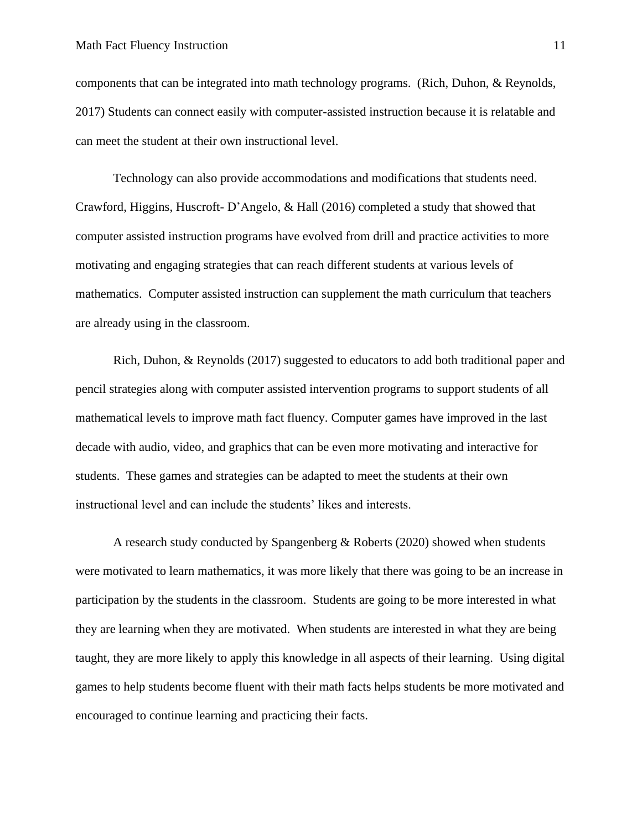components that can be integrated into math technology programs. (Rich, Duhon, & Reynolds, 2017) Students can connect easily with computer-assisted instruction because it is relatable and can meet the student at their own instructional level.

Technology can also provide accommodations and modifications that students need. Crawford, Higgins, Huscroft- D'Angelo, & Hall (2016) completed a study that showed that computer assisted instruction programs have evolved from drill and practice activities to more motivating and engaging strategies that can reach different students at various levels of mathematics. Computer assisted instruction can supplement the math curriculum that teachers are already using in the classroom.

Rich, Duhon, & Reynolds (2017) suggested to educators to add both traditional paper and pencil strategies along with computer assisted intervention programs to support students of all mathematical levels to improve math fact fluency. Computer games have improved in the last decade with audio, video, and graphics that can be even more motivating and interactive for students. These games and strategies can be adapted to meet the students at their own instructional level and can include the students' likes and interests.

A research study conducted by Spangenberg & Roberts (2020) showed when students were motivated to learn mathematics, it was more likely that there was going to be an increase in participation by the students in the classroom. Students are going to be more interested in what they are learning when they are motivated. When students are interested in what they are being taught, they are more likely to apply this knowledge in all aspects of their learning. Using digital games to help students become fluent with their math facts helps students be more motivated and encouraged to continue learning and practicing their facts.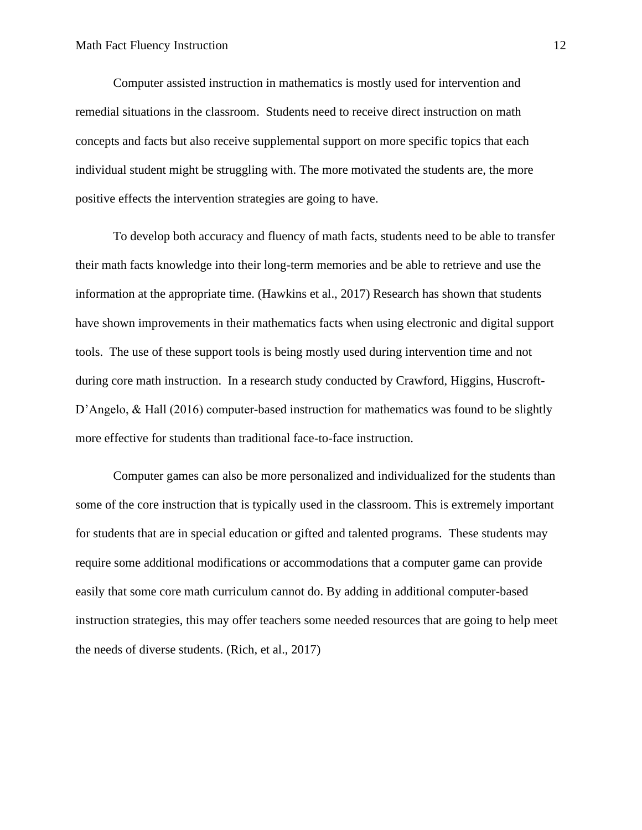Computer assisted instruction in mathematics is mostly used for intervention and remedial situations in the classroom. Students need to receive direct instruction on math concepts and facts but also receive supplemental support on more specific topics that each individual student might be struggling with. The more motivated the students are, the more positive effects the intervention strategies are going to have.

To develop both accuracy and fluency of math facts, students need to be able to transfer their math facts knowledge into their long-term memories and be able to retrieve and use the information at the appropriate time. (Hawkins et al., 2017) Research has shown that students have shown improvements in their mathematics facts when using electronic and digital support tools. The use of these support tools is being mostly used during intervention time and not during core math instruction. In a research study conducted by Crawford, Higgins, Huscroft-D'Angelo, & Hall (2016) computer-based instruction for mathematics was found to be slightly more effective for students than traditional face-to-face instruction.

Computer games can also be more personalized and individualized for the students than some of the core instruction that is typically used in the classroom. This is extremely important for students that are in special education or gifted and talented programs. These students may require some additional modifications or accommodations that a computer game can provide easily that some core math curriculum cannot do. By adding in additional computer-based instruction strategies, this may offer teachers some needed resources that are going to help meet the needs of diverse students. (Rich, et al., 2017)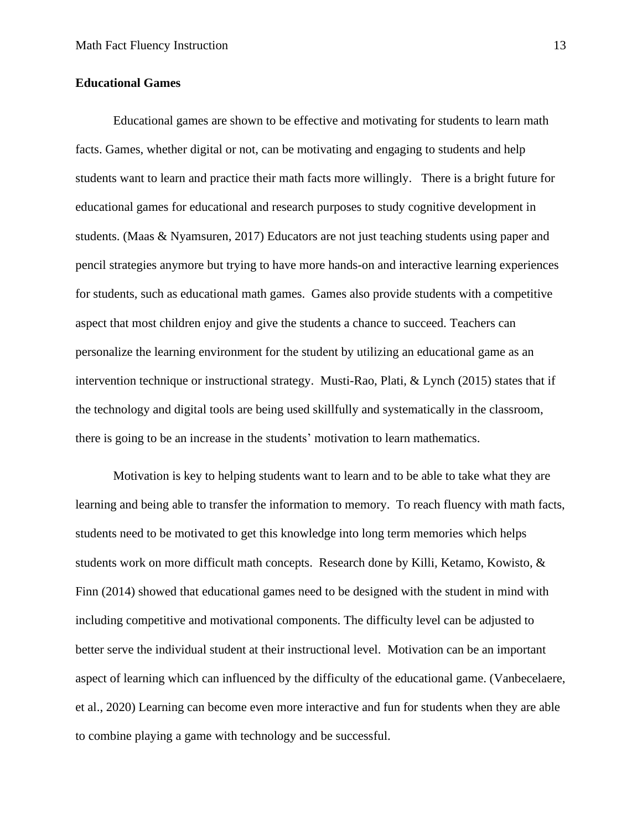#### **Educational Games**

Educational games are shown to be effective and motivating for students to learn math facts. Games, whether digital or not, can be motivating and engaging to students and help students want to learn and practice their math facts more willingly. There is a bright future for educational games for educational and research purposes to study cognitive development in students. (Maas & Nyamsuren, 2017) Educators are not just teaching students using paper and pencil strategies anymore but trying to have more hands-on and interactive learning experiences for students, such as educational math games. Games also provide students with a competitive aspect that most children enjoy and give the students a chance to succeed. Teachers can personalize the learning environment for the student by utilizing an educational game as an intervention technique or instructional strategy. Musti-Rao, Plati, & Lynch (2015) states that if the technology and digital tools are being used skillfully and systematically in the classroom, there is going to be an increase in the students' motivation to learn mathematics.

Motivation is key to helping students want to learn and to be able to take what they are learning and being able to transfer the information to memory. To reach fluency with math facts, students need to be motivated to get this knowledge into long term memories which helps students work on more difficult math concepts. Research done by Killi, Ketamo, Kowisto, & Finn (2014) showed that educational games need to be designed with the student in mind with including competitive and motivational components. The difficulty level can be adjusted to better serve the individual student at their instructional level. Motivation can be an important aspect of learning which can influenced by the difficulty of the educational game. (Vanbecelaere, et al., 2020) Learning can become even more interactive and fun for students when they are able to combine playing a game with technology and be successful.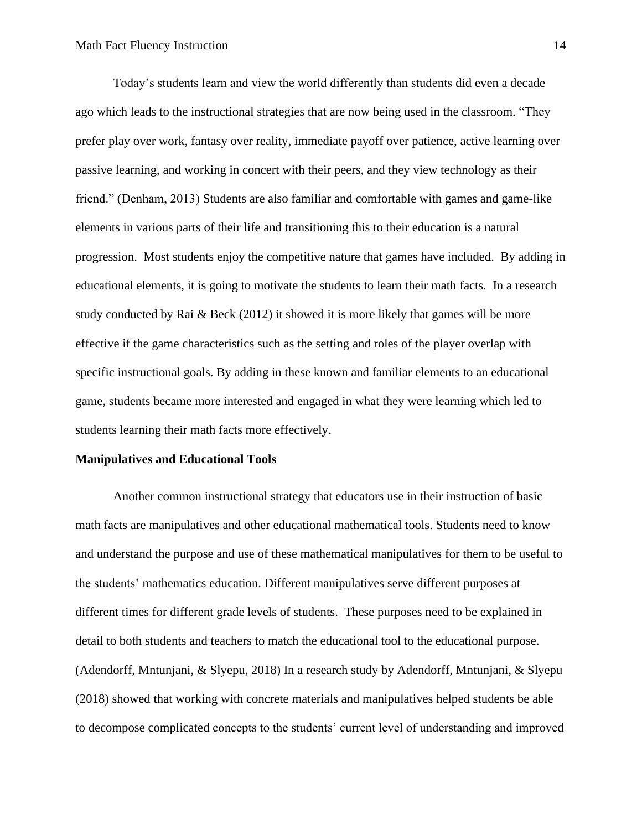Today's students learn and view the world differently than students did even a decade ago which leads to the instructional strategies that are now being used in the classroom. "They prefer play over work, fantasy over reality, immediate payoff over patience, active learning over passive learning, and working in concert with their peers, and they view technology as their friend." (Denham, 2013) Students are also familiar and comfortable with games and game-like elements in various parts of their life and transitioning this to their education is a natural progression. Most students enjoy the competitive nature that games have included. By adding in educational elements, it is going to motivate the students to learn their math facts. In a research study conducted by Rai & Beck (2012) it showed it is more likely that games will be more effective if the game characteristics such as the setting and roles of the player overlap with specific instructional goals. By adding in these known and familiar elements to an educational game, students became more interested and engaged in what they were learning which led to students learning their math facts more effectively.

#### **Manipulatives and Educational Tools**

Another common instructional strategy that educators use in their instruction of basic math facts are manipulatives and other educational mathematical tools. Students need to know and understand the purpose and use of these mathematical manipulatives for them to be useful to the students' mathematics education. Different manipulatives serve different purposes at different times for different grade levels of students. These purposes need to be explained in detail to both students and teachers to match the educational tool to the educational purpose. (Adendorff, Mntunjani, & Slyepu, 2018) In a research study by Adendorff, Mntunjani, & Slyepu (2018) showed that working with concrete materials and manipulatives helped students be able to decompose complicated concepts to the students' current level of understanding and improved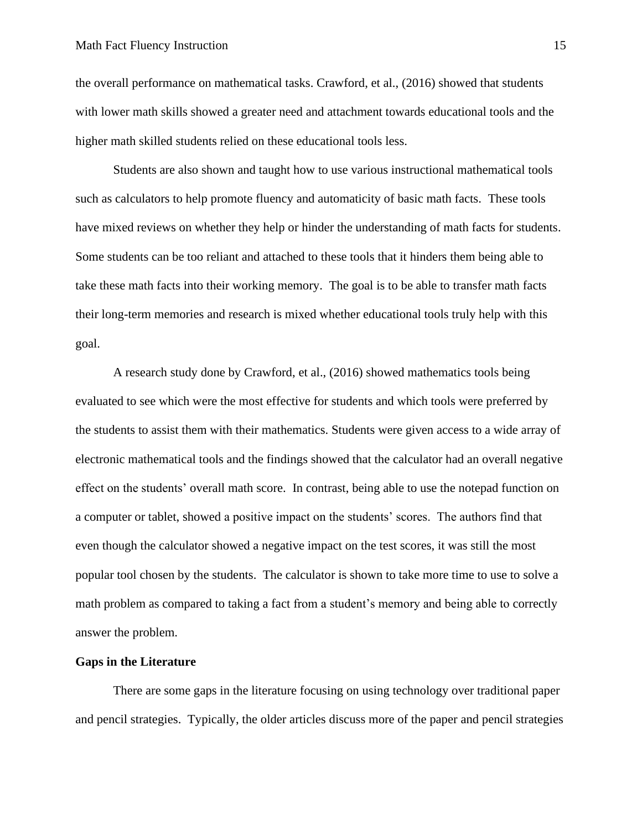the overall performance on mathematical tasks. Crawford, et al., (2016) showed that students with lower math skills showed a greater need and attachment towards educational tools and the higher math skilled students relied on these educational tools less.

Students are also shown and taught how to use various instructional mathematical tools such as calculators to help promote fluency and automaticity of basic math facts. These tools have mixed reviews on whether they help or hinder the understanding of math facts for students. Some students can be too reliant and attached to these tools that it hinders them being able to take these math facts into their working memory. The goal is to be able to transfer math facts their long-term memories and research is mixed whether educational tools truly help with this goal.

A research study done by Crawford, et al., (2016) showed mathematics tools being evaluated to see which were the most effective for students and which tools were preferred by the students to assist them with their mathematics. Students were given access to a wide array of electronic mathematical tools and the findings showed that the calculator had an overall negative effect on the students' overall math score. In contrast, being able to use the notepad function on a computer or tablet, showed a positive impact on the students' scores. The authors find that even though the calculator showed a negative impact on the test scores, it was still the most popular tool chosen by the students. The calculator is shown to take more time to use to solve a math problem as compared to taking a fact from a student's memory and being able to correctly answer the problem.

#### **Gaps in the Literature**

There are some gaps in the literature focusing on using technology over traditional paper and pencil strategies. Typically, the older articles discuss more of the paper and pencil strategies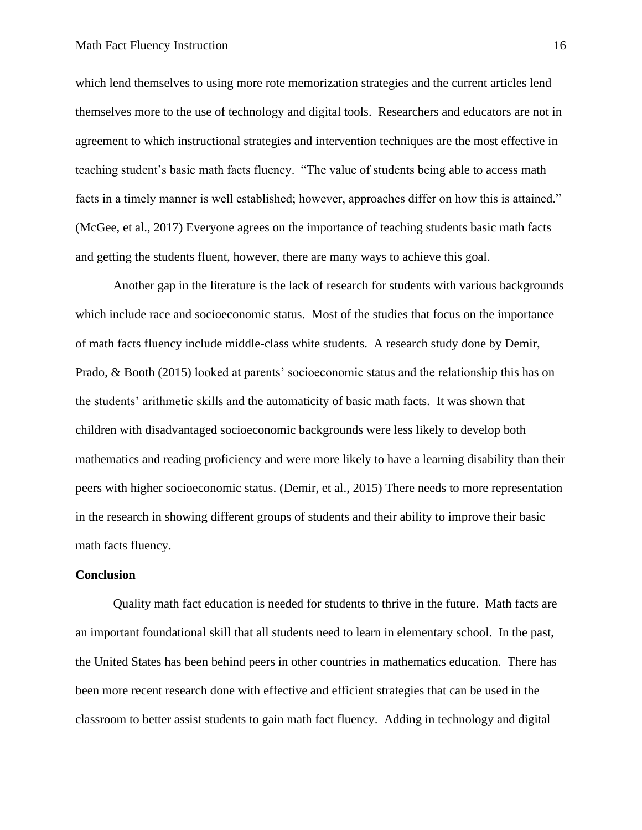which lend themselves to using more rote memorization strategies and the current articles lend themselves more to the use of technology and digital tools. Researchers and educators are not in agreement to which instructional strategies and intervention techniques are the most effective in teaching student's basic math facts fluency. "The value of students being able to access math facts in a timely manner is well established; however, approaches differ on how this is attained." (McGee, et al., 2017) Everyone agrees on the importance of teaching students basic math facts and getting the students fluent, however, there are many ways to achieve this goal.

Another gap in the literature is the lack of research for students with various backgrounds which include race and socioeconomic status. Most of the studies that focus on the importance of math facts fluency include middle-class white students. A research study done by Demir, Prado, & Booth (2015) looked at parents' socioeconomic status and the relationship this has on the students' arithmetic skills and the automaticity of basic math facts. It was shown that children with disadvantaged socioeconomic backgrounds were less likely to develop both mathematics and reading proficiency and were more likely to have a learning disability than their peers with higher socioeconomic status. (Demir, et al., 2015) There needs to more representation in the research in showing different groups of students and their ability to improve their basic math facts fluency.

#### **Conclusion**

Quality math fact education is needed for students to thrive in the future. Math facts are an important foundational skill that all students need to learn in elementary school. In the past, the United States has been behind peers in other countries in mathematics education. There has been more recent research done with effective and efficient strategies that can be used in the classroom to better assist students to gain math fact fluency. Adding in technology and digital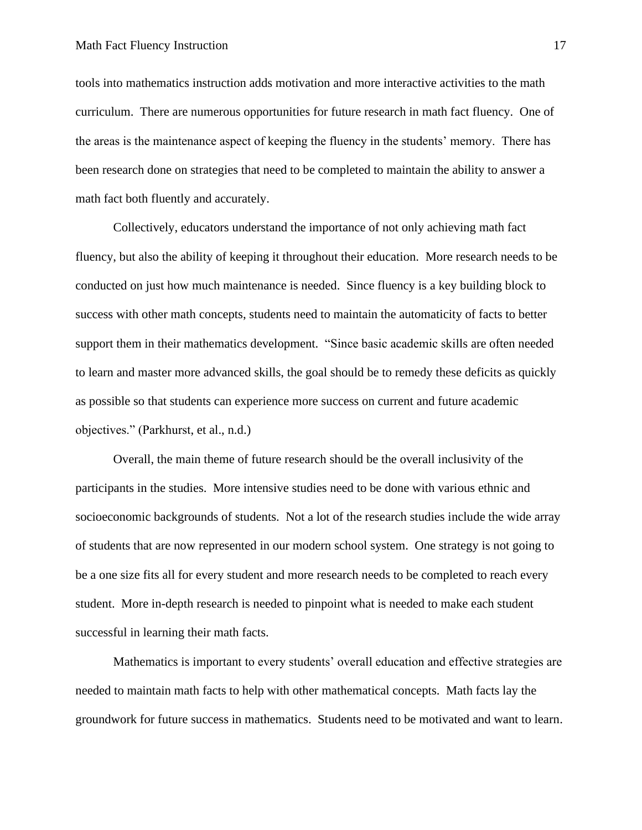tools into mathematics instruction adds motivation and more interactive activities to the math curriculum. There are numerous opportunities for future research in math fact fluency. One of the areas is the maintenance aspect of keeping the fluency in the students' memory. There has been research done on strategies that need to be completed to maintain the ability to answer a math fact both fluently and accurately.

Collectively, educators understand the importance of not only achieving math fact fluency, but also the ability of keeping it throughout their education. More research needs to be conducted on just how much maintenance is needed. Since fluency is a key building block to success with other math concepts, students need to maintain the automaticity of facts to better support them in their mathematics development. "Since basic academic skills are often needed to learn and master more advanced skills, the goal should be to remedy these deficits as quickly as possible so that students can experience more success on current and future academic objectives." (Parkhurst, et al., n.d.)

Overall, the main theme of future research should be the overall inclusivity of the participants in the studies. More intensive studies need to be done with various ethnic and socioeconomic backgrounds of students. Not a lot of the research studies include the wide array of students that are now represented in our modern school system. One strategy is not going to be a one size fits all for every student and more research needs to be completed to reach every student. More in-depth research is needed to pinpoint what is needed to make each student successful in learning their math facts.

Mathematics is important to every students' overall education and effective strategies are needed to maintain math facts to help with other mathematical concepts. Math facts lay the groundwork for future success in mathematics. Students need to be motivated and want to learn.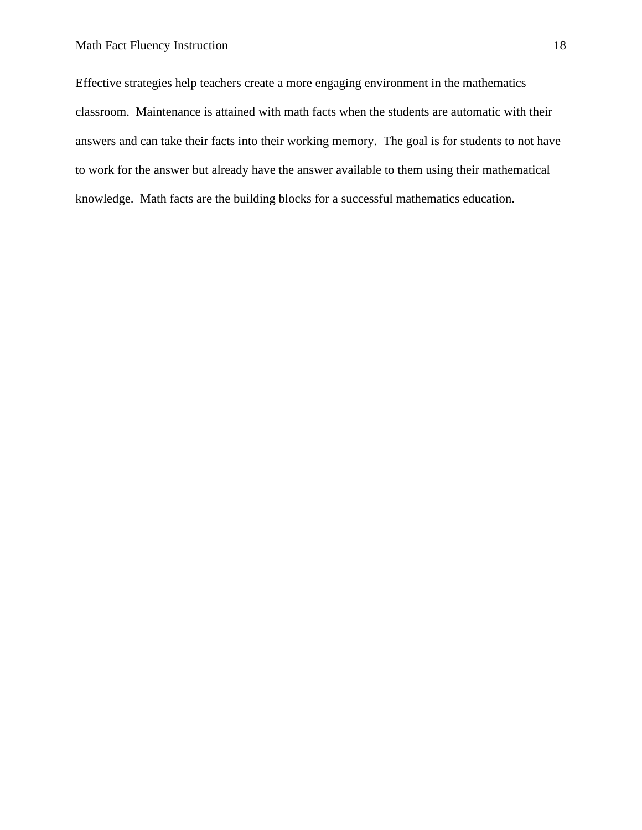Effective strategies help teachers create a more engaging environment in the mathematics classroom. Maintenance is attained with math facts when the students are automatic with their answers and can take their facts into their working memory. The goal is for students to not have to work for the answer but already have the answer available to them using their mathematical knowledge. Math facts are the building blocks for a successful mathematics education.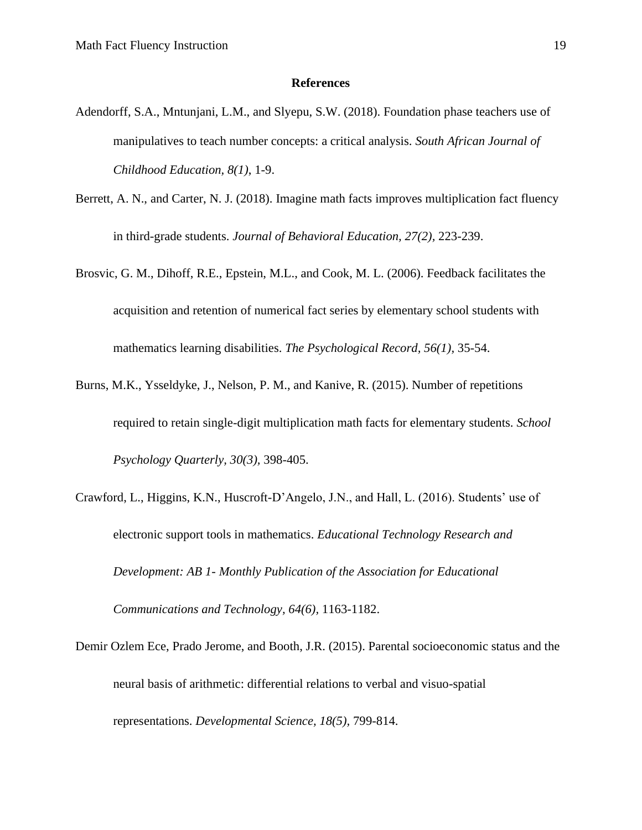#### **References**

- Adendorff, S.A., Mntunjani, L.M., and Slyepu, S.W. (2018). Foundation phase teachers use of manipulatives to teach number concepts: a critical analysis. *South African Journal of Childhood Education, 8(1)*, 1-9.
- Berrett, A. N., and Carter, N. J. (2018). Imagine math facts improves multiplication fact fluency in third-grade students. *Journal of Behavioral Education, 27(2),* 223-239.
- Brosvic, G. M., Dihoff, R.E., Epstein, M.L., and Cook, M. L. (2006). Feedback facilitates the acquisition and retention of numerical fact series by elementary school students with mathematics learning disabilities. *The Psychological Record, 56(1),* 35-54.
- Burns, M.K., Ysseldyke, J., Nelson, P. M., and Kanive, R. (2015). Number of repetitions required to retain single-digit multiplication math facts for elementary students. *School Psychology Quarterly, 30(3),* 398-405.
- Crawford, L., Higgins, K.N., Huscroft-D'Angelo, J.N., and Hall, L. (2016). Students' use of electronic support tools in mathematics. *Educational Technology Research and Development: AB 1- Monthly Publication of the Association for Educational Communications and Technology, 64(6),* 1163-1182.
- Demir Ozlem Ece, Prado Jerome, and Booth, J.R. (2015). Parental socioeconomic status and the neural basis of arithmetic: differential relations to verbal and visuo-spatial representations. *Developmental Science, 18(5),* 799-814.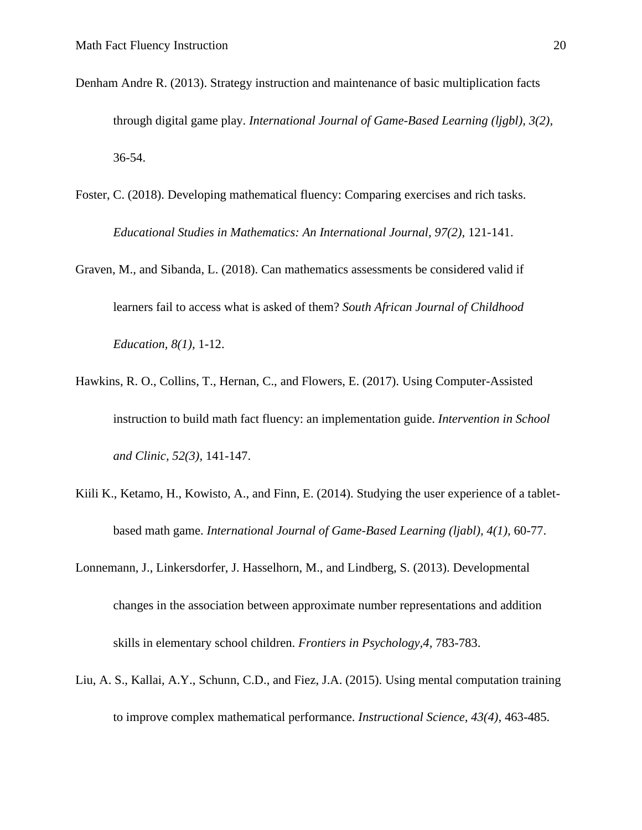- Denham Andre R. (2013). Strategy instruction and maintenance of basic multiplication facts through digital game play. *International Journal of Game-Based Learning (ljgbl), 3(2),*  36-54.
- Foster, C. (2018). Developing mathematical fluency: Comparing exercises and rich tasks. *Educational Studies in Mathematics: An International Journal, 97(2),* 121-141.
- Graven, M., and Sibanda, L. (2018). Can mathematics assessments be considered valid if learners fail to access what is asked of them? *South African Journal of Childhood Education, 8(1),* 1-12.
- Hawkins, R. O., Collins, T., Hernan, C., and Flowers, E. (2017). Using Computer-Assisted instruction to build math fact fluency: an implementation guide. *Intervention in School and Clinic, 52(3),* 141-147.
- Kiili K., Ketamo, H., Kowisto, A., and Finn, E. (2014). Studying the user experience of a tabletbased math game. *International Journal of Game-Based Learning (ljabl), 4(1),* 60-77.
- Lonnemann, J., Linkersdorfer, J. Hasselhorn, M., and Lindberg, S. (2013). Developmental changes in the association between approximate number representations and addition skills in elementary school children. *Frontiers in Psychology,4,* 783-783.
- Liu, A. S., Kallai, A.Y., Schunn, C.D., and Fiez, J.A. (2015). Using mental computation training to improve complex mathematical performance. *Instructional Science, 43(4),* 463-485.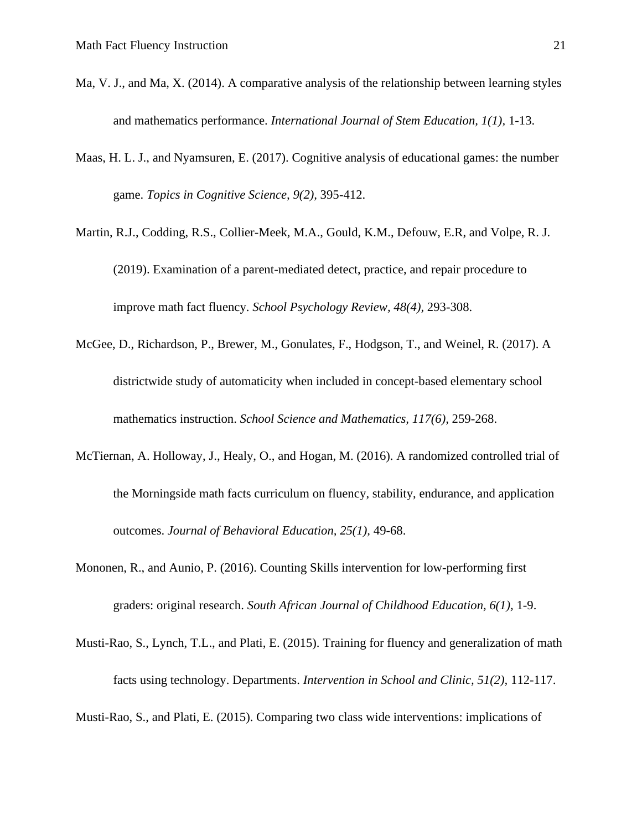- Ma, V. J., and Ma, X. (2014). A comparative analysis of the relationship between learning styles and mathematics performance. *International Journal of Stem Education, 1(1),* 1-13.
- Maas, H. L. J., and Nyamsuren, E. (2017). Cognitive analysis of educational games: the number game. *Topics in Cognitive Science, 9(2),* 395-412.
- Martin, R.J., Codding, R.S., Collier-Meek, M.A., Gould, K.M., Defouw, E.R, and Volpe, R. J. (2019). Examination of a parent-mediated detect, practice, and repair procedure to improve math fact fluency. *School Psychology Review, 48(4),* 293-308.
- McGee, D., Richardson, P., Brewer, M., Gonulates, F., Hodgson, T., and Weinel, R. (2017). A districtwide study of automaticity when included in concept-based elementary school mathematics instruction. *School Science and Mathematics, 117(6),* 259-268.
- McTiernan, A. Holloway, J., Healy, O., and Hogan, M. (2016). A randomized controlled trial of the Morningside math facts curriculum on fluency, stability, endurance, and application outcomes. *Journal of Behavioral Education, 25(1),* 49-68.
- Mononen, R., and Aunio, P. (2016). Counting Skills intervention for low-performing first graders: original research. *South African Journal of Childhood Education, 6(1),* 1-9.
- Musti-Rao, S., Lynch, T.L., and Plati, E. (2015). Training for fluency and generalization of math facts using technology. Departments. *Intervention in School and Clinic, 51(2),* 112-117.

Musti-Rao, S., and Plati, E. (2015). Comparing two class wide interventions: implications of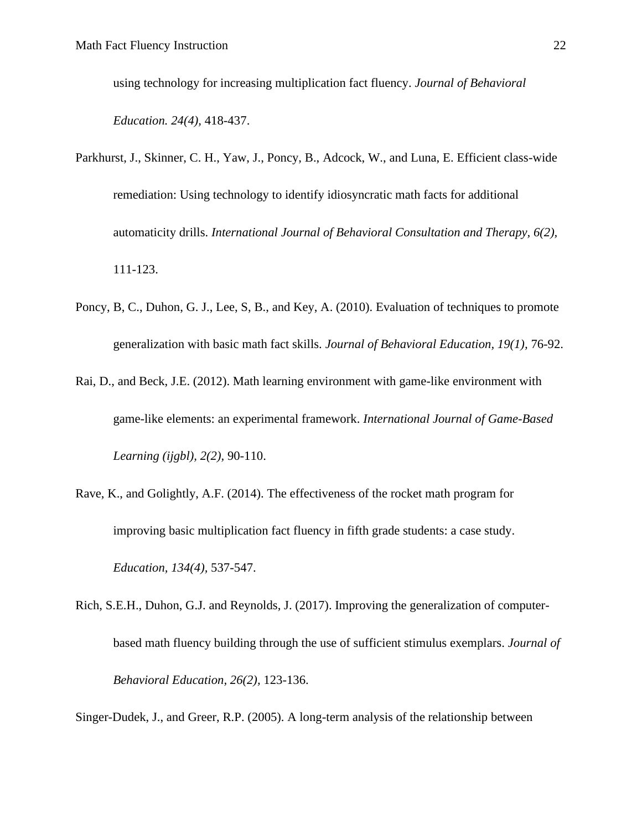using technology for increasing multiplication fact fluency. *Journal of Behavioral Education. 24(4),* 418-437.

- Parkhurst, J., Skinner, C. H., Yaw, J., Poncy, B., Adcock, W., and Luna, E. Efficient class-wide remediation: Using technology to identify idiosyncratic math facts for additional automaticity drills. *International Journal of Behavioral Consultation and Therapy, 6(2),*  111-123.
- Poncy, B, C., Duhon, G. J., Lee, S, B., and Key, A. (2010). Evaluation of techniques to promote generalization with basic math fact skills. *Journal of Behavioral Education, 19(1),* 76-92.
- Rai, D., and Beck, J.E. (2012). Math learning environment with game-like environment with game-like elements: an experimental framework. *International Journal of Game-Based Learning (ijgbl), 2(2),* 90-110.
- Rave, K., and Golightly, A.F. (2014). The effectiveness of the rocket math program for improving basic multiplication fact fluency in fifth grade students: a case study. *Education, 134(4),* 537-547.
- Rich, S.E.H., Duhon, G.J. and Reynolds, J. (2017). Improving the generalization of computerbased math fluency building through the use of sufficient stimulus exemplars. *Journal of Behavioral Education, 26(2),* 123-136.

Singer-Dudek, J., and Greer, R.P. (2005). A long-term analysis of the relationship between